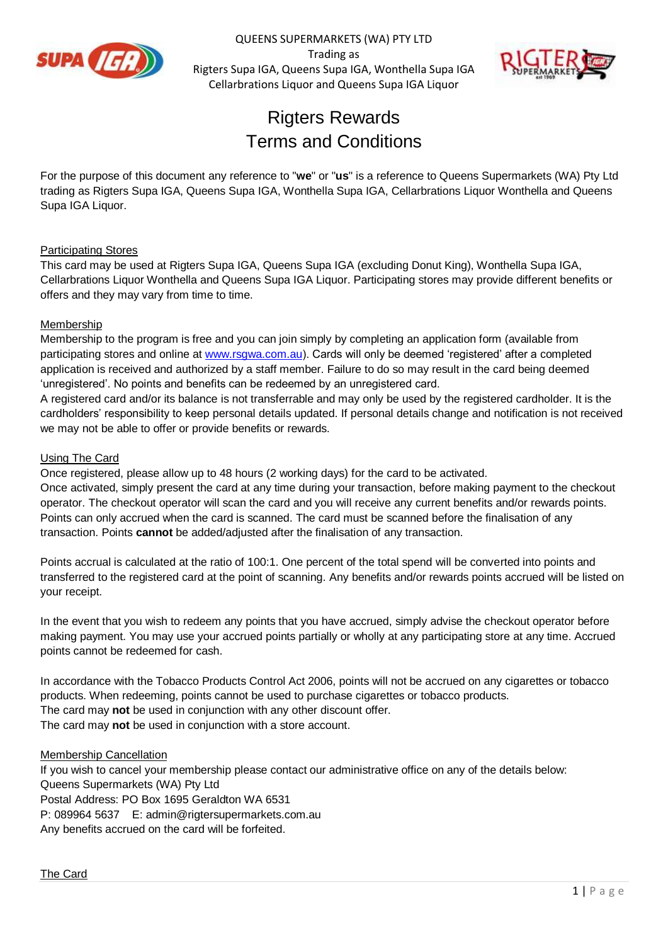

QUEENS SUPERMARKETS (WA) PTY LTD Trading as Rigters Supa IGA, Queens Supa IGA, Wonthella Supa IGA Cellarbrations Liquor and Queens Supa IGA Liquor



# **Rigters Rewards** Terms and Conditions

For the purpose of this document any reference to "**we**" or "**us**" is a reference to Queens Supermarkets (WA) Pty Ltd trading as Rigters Supa IGA, Queens Supa IGA, Wonthella Supa IGA, Cellarbrations Liquor Wonthella and Queens Supa IGA Liquor.

# Participating Stores

This card may be used at Rigters Supa IGA, Queens Supa IGA (excluding Donut King), Wonthella Supa IGA, Cellarbrations Liquor Wonthella and Queens Supa IGA Liquor. Participating stores may provide different benefits or offers and they may vary from time to time.

## **Membership**

Membership to the program is free and you can join simply by completing an application form (available from participating stores and online at [www.rsgwa.com.au\)](http://www.rsgwa.com.au/). Cards will only be deemed 'registered' after a completed application is received and authorized by a staff member. Failure to do so may result in the card being deemed 'unregistered'. No points and benefits can be redeemed by an unregistered card.

A registered card and/or its balance is not transferrable and may only be used by the registered cardholder. It is the cardholders' responsibility to keep personal details updated. If personal details change and notification is not received we may not be able to offer or provide benefits or rewards.

# Using The Card

Once registered, please allow up to 48 hours (2 working days) for the card to be activated. Once activated, simply present the card at any time during your transaction, before making payment to the checkout operator. The checkout operator will scan the card and you will receive any current benefits and/or rewards points. Points can only accrued when the card is scanned. The card must be scanned before the finalisation of any transaction. Points **cannot** be added/adjusted after the finalisation of any transaction.

Points accrual is calculated at the ratio of 100:1. One percent of the total spend will be converted into points and transferred to the registered card at the point of scanning. Any benefits and/or rewards points accrued will be listed on your receipt.

In the event that you wish to redeem any points that you have accrued, simply advise the checkout operator before making payment. You may use your accrued points partially or wholly at any participating store at any time. Accrued points cannot be redeemed for cash.

In accordance with the Tobacco Products Control Act 2006, points will not be accrued on any cigarettes or tobacco products. When redeeming, points cannot be used to purchase cigarettes or tobacco products. The card may **not** be used in conjunction with any other discount offer. The card may **not** be used in conjunction with a store account.

## Membership Cancellation

If you wish to cancel your membership please contact our administrative office on any of the details below: Queens Supermarkets (WA) Pty Ltd Postal Address: PO Box 1695 Geraldton WA 6531 P: 089964 5637 E: admin@rigtersupermarkets.com.au Any benefits accrued on the card will be forfeited.